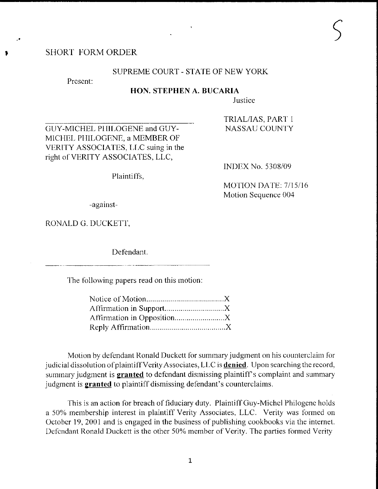# **SHORT FORM ORDER**

## SUPREME COURT - STATE OF NEW YORK

Present:

#### HON. STEPHEN A. BUCARIA

Justice

GUY-MICHEL PHILOGENE and GUY-MICHEL PHILOGENE, a MEMBER OF VERITY ASSOCIATES, LLC suing in the right of VERITY ASSOCIATES, LLC,

TRIAL/IAS, PART 1 **NASSAU COUNTY** 

Plaintiffs,

**INDEX No. 5308/09** 

MOTION DATE: 7/15/16 Motion Sequence 004

-against-

RONALD G. DUCKETT,

Defendant.

The following papers read on this motion:

Motion by defendant Ronald Duckett for summary judgment on his counterclaim for judicial dissolution of plaintiff Verity Associates, LLC is **denied**. Upon searching the record, summary judgment is **granted** to defendant dismissing plaintiff's complaint and summary judgment is **granted** to plaintiff dismissing defendant's counterclaims.

This is an action for breach of fiduciary duty. Plaintiff Guy-Michel Philogene holds a 50% membership interest in plaintiff Verity Associates, LLC. Verity was formed on October 19, 2001 and is engaged in the business of publishing cookbooks via the internet. Defendant Ronald Duckett is the other 50% member of Verity. The parties formed Verity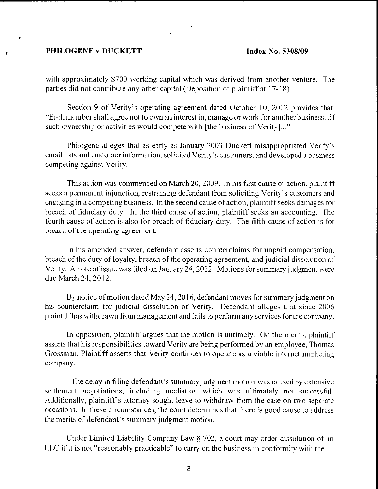### PHILOGENE v DUCKETT latex No. 5308/09

with approximately \$700 working capital which was derived from another venture. The parties did not contribute any other capital (Deposition of plaintiff at 17-18).

Section 9 of Verity's operating agreement dated October 10, 2002 provides that, "Each member shall agree not to own an interest in, manage or work for another business...if such ownership or activities would compete with [the business of Verity]..."

Philogene alleges that as early as January 2003 Duckett misappropriated Verity's email lists and customer information, solicited Verity's customers, and developed a business competing against Verity.

This action was commenced on March 20, 2009. In his first cause of action, plaintiff seeks a permanent injunction, restraining defendant from soliciting Verity's customers and engaging in a competing business. In the second cause of action, plaintiff seeks damages for breach of fiduciary duty. In the third cause of action, plaintiff seeks an accounting. The fourth cause of action is also for breach of fiduciary duty. The fifth cause of action is for breach of the operating agreement.

In his amended answer, defendant asserts counterclaims for unpaid compensation, breach of the duty of loyalty, breach of the operating agreement, and judicial dissolution of Verity. A note of issue was filed on January 24, 2012. Motions for summary judgment were due March 24, 2012.

By notice of motion dated May 24, 2016, defendant moves for summary judgment on his counterclaim for judicial dissolution of Verity. Defendant alleges that since 2006 plaintiff has withdrawn from management and fails to perform any services for the company.

In opposition, plaintiff argues that the motion is untimely. On the merits, plaintiff asserts that his rcsponsibilities toward Verity are being perfonned by an ernployee, Thomas Grossman. Plaintiff asserts that Verity continues to operate as a viable internet marketing company.

The delay in filing defendant's summary judgment motion was caused by extensive settlement negotiations, including mediation which was ultimately not successful. Additionally, plaintiff's attorney sought leave to withdraw from the case on two separate occasions. ln these circumstances, the court dctcrmines that there is good cause to address the merits of defendant's summary judgment motion.

Under Limited Liability Company Law  $\S$  702, a court may order dissolution of an LLC if it is not "reasonably practicable" to carry on the business in conformity with the